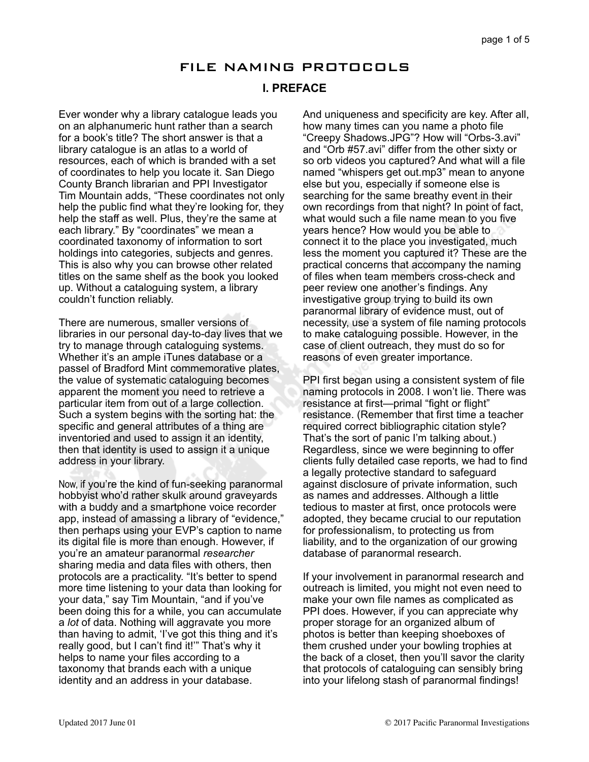# FILE NAMING PROTOCOLS

# **I. PREFACE**

Ever wonder why a library catalogue leads you on an alphanumeric hunt rather than a search for a book's title? The short answer is that a library catalogue is an atlas to a world of resources, each of which is branded with a set of coordinates to help you locate it. San Diego County Branch librarian and PPI Investigator Tim Mountain adds, "These coordinates not only help the public find what they're looking for, they help the staff as well. Plus, they're the same at each library." By "coordinates" we mean a coordinated taxonomy of information to sort holdings into categories, subjects and genres. This is also why you can browse other related titles on the same shelf as the book you looked up. Without a cataloguing system, a library couldn't function reliably.

There are numerous, smaller versions of libraries in our personal day-to-day lives that we try to manage through cataloguing systems. Whether it's an ample iTunes database or a passel of Bradford Mint commemorative plates, the value of systematic cataloguing becomes apparent the moment you need to retrieve a particular item from out of a large collection. Such a system begins with the sorting hat: the specific and general attributes of a thing are inventoried and used to assign it an identity, then that identity is used to assign it a unique address in your library.

Now, if you're the kind of fun-seeking paranormal hobbyist who'd rather skulk around graveyards with a buddy and a smartphone voice recorder app, instead of amassing a library of "evidence," then perhaps using your EVP's caption to name its digital file is more than enough. However, if you're an amateur paranormal *researcher* sharing media and data files with others, then protocols are a practicality. "It's better to spend more time listening to your data than looking for your data," say Tim Mountain, "and if you've been doing this for a while, you can accumulate a *lot* of data. Nothing will aggravate you more than having to admit, 'I've got this thing and it's really good, but I can't find it!'" That's why it helps to name your files according to a taxonomy that brands each with a unique identity and an address in your database.

And uniqueness and specificity are key. After all, how many times can you name a photo file "Creepy Shadows.JPG"? How will "Orbs-3.avi" and "Orb #57.avi" differ from the other sixty or so orb videos you captured? And what will a file named "whispers get out.mp3" mean to anyone else but you, especially if someone else is searching for the same breathy event in their own recordings from that night? In point of fact, what would such a file name mean to you five years hence? How would you be able to connect it to the place you investigated, much less the moment you captured it? These are the practical concerns that accompany the naming of files when team members cross-check and peer review one another's findings. Any investigative group trying to build its own paranormal library of evidence must, out of necessity, use a system of file naming protocols to make cataloguing possible. However, in the case of client outreach, they must do so for reasons of even greater importance.

PPI first began using a consistent system of file naming protocols in 2008. I won't lie. There was resistance at first—primal "fight or flight" resistance. (Remember that first time a teacher required correct bibliographic citation style? That's the sort of panic I'm talking about.) Regardless, since we were beginning to offer clients fully detailed case reports, we had to find a legally protective standard to safeguard against disclosure of private information, such as names and addresses. Although a little tedious to master at first, once protocols were adopted, they became crucial to our reputation for professionalism, to protecting us from liability, and to the organization of our growing database of paranormal research.

If your involvement in paranormal research and outreach is limited, you might not even need to make your own file names as complicated as PPI does. However, if you can appreciate why proper storage for an organized album of photos is better than keeping shoeboxes of them crushed under your bowling trophies at the back of a closet, then you'll savor the clarity that protocols of cataloguing can sensibly bring into your lifelong stash of paranormal findings!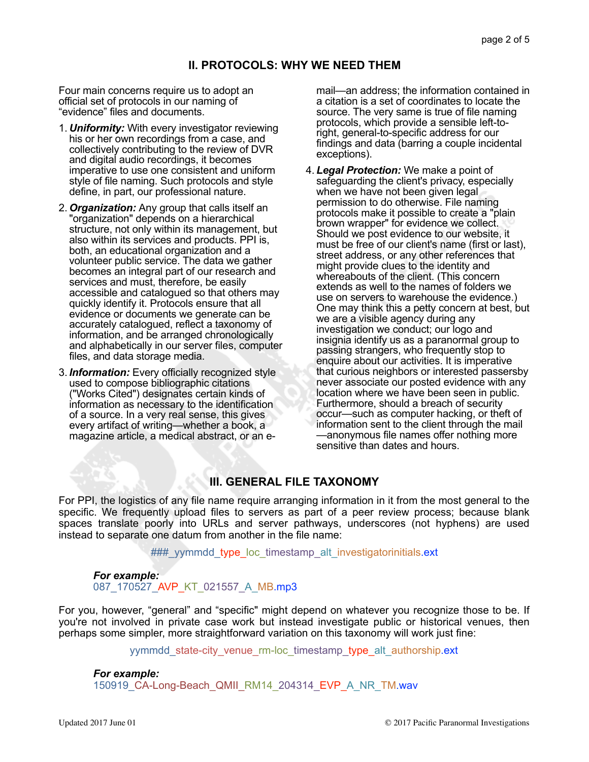# **II. PROTOCOLS: WHY WE NEED THEM**

Four main concerns require us to adopt an official set of protocols in our naming of "evidence" files and documents.

- 1. *Uniformity:* With every investigator reviewing his or her own recordings from a case, and collectively contributing to the review of DVR and digital audio recordings, it becomes imperative to use one consistent and uniform style of file naming. Such protocols and style define, in part, our professional nature.
- 2. *Organization:* Any group that calls itself an "organization" depends on a hierarchical structure, not only within its management, but also within its services and products. PPI is, both, an educational organization and a volunteer public service. The data we gather becomes an integral part of our research and services and must, therefore, be easily accessible and catalogued so that others may quickly identify it. Protocols ensure that all evidence or documents we generate can be accurately catalogued, reflect a taxonomy of information, and be arranged chronologically and alphabetically in our server files, computer files, and data storage media.
- 3. *Information:* Every officially recognized style used to compose bibliographic citations ("Works Cited") designates certain kinds of information as necessary to the identification of a source. In a very real sense, this gives every artifact of writing—whether a book, a magazine article, a medical abstract, or an e-

mail—an address; the information contained in a citation is a set of coordinates to locate the source. The very same is true of file naming protocols, which provide a sensible left-toright, general-to-specific address for our findings and data (barring a couple incidental exceptions).

4. *Legal Protection:* We make a point of safeguarding the client's privacy, especially when we have not been given legal permission to do otherwise. File naming protocols make it possible to create a "plain brown wrapper" for evidence we collect. Should we post evidence to our website, it must be free of our client's name (first or last), street address, or any other references that might provide clues to the identity and whereabouts of the client. (This concern extends as well to the names of folders we use on servers to warehouse the evidence.) One may think this a petty concern at best, but we are a visible agency during any investigation we conduct; our logo and insignia identify us as a paranormal group to passing strangers, who frequently stop to enquire about our activities. It is imperative that curious neighbors or interested passersby never associate our posted evidence with any location where we have been seen in public. Furthermore, should a breach of security occur—such as computer hacking, or theft of information sent to the client through the mail —anonymous file names offer nothing more sensitive than dates and hours.

# **III. GENERAL FILE TAXONOMY**

For PPI, the logistics of any file name require arranging information in it from the most general to the specific. We frequently upload files to servers as part of a peer review process; because blank spaces translate poorly into URLs and server pathways, underscores (not hyphens) are used instead to separate one datum from another in the file name:

### yymmdd type loc timestamp alt investigatorinitials.ext

# *For example:*  087\_170527\_AVP\_KT\_021557\_A\_MB.mp3

For you, however, "general" and "specific" might depend on whatever you recognize those to be. If you're not involved in private case work but instead investigate public or historical venues, then perhaps some simpler, more straightforward variation on this taxonomy will work just fine:

yymmdd\_state-city\_venue\_rm-loc\_timestamp\_type\_alt\_authorship.ext

*For example:* 

150919 CA-Long-Beach QMII RM14 204314 EVP A NR TM.wav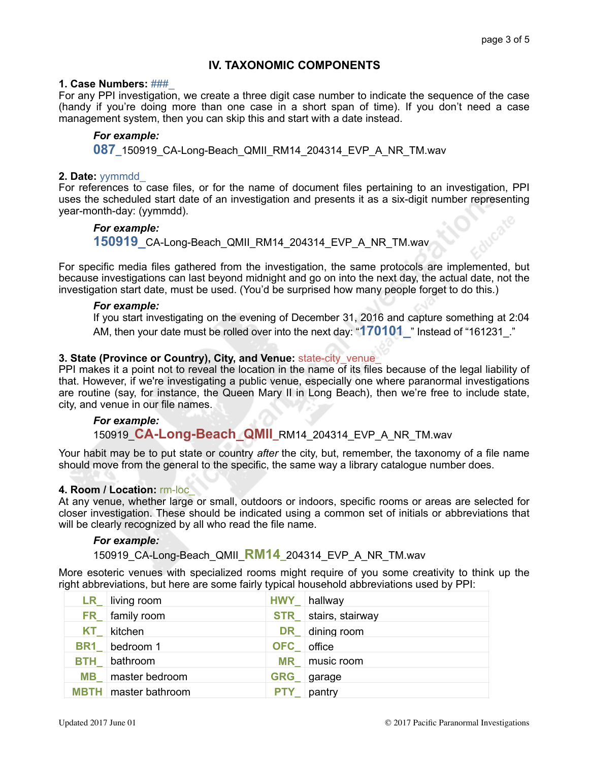# **IV. TAXONOMIC COMPONENTS**

### **1. Case Numbers:** ###\_

For any PPI investigation, we create a three digit case number to indicate the sequence of the case (handy if you're doing more than one case in a short span of time). If you don't need a case management system, then you can skip this and start with a date instead.

### *For example:*

**087\_**150919\_CA-Long-Beach\_QMII\_RM14\_204314\_EVP\_A\_NR\_TM.wav

### **2. Date:** yymmdd\_

For references to case files, or for the name of document files pertaining to an investigation, PPI uses the scheduled start date of an investigation and presents it as a six-digit number representing year-month-day: (yymmdd).

# *For example:*

**150919\_**CA-Long-Beach\_QMII\_RM14\_204314\_EVP\_A\_NR\_TM.wav

For specific media files gathered from the investigation, the same protocols are implemented, but because investigations can last beyond midnight and go on into the next day, the actual date, not the investigation start date, must be used. (You'd be surprised how many people forget to do this.)

### *For example:*

If you start investigating on the evening of December 31, 2016 and capture something at 2:04 AM, then your date must be rolled over into the next day: "**170101\_**" Instead of "161231\_."

## **3. State (Province or Country), City, and Venue: state-city venue**

PPI makes it a point not to reveal the location in the name of its files because of the legal liability of that. However, if we're investigating a public venue, especially one where paranormal investigations are routine (say, for instance, the Queen Mary II in Long Beach), then we're free to include state, city, and venue in our file names.

## *For example:*

# 150919\_**CA-Long-Beach\_QMII\_**RM14\_204314\_EVP\_A\_NR\_TM.wav

Your habit may be to put state or country *after* the city, but, remember, the taxonomy of a file name should move from the general to the specific, the same way a library catalogue number does.

## **4. Room / Location:** rm-loc\_

At any venue, whether large or small, outdoors or indoors, specific rooms or areas are selected for closer investigation. These should be indicated using a common set of initials or abbreviations that will be clearly recognized by all who read the file name.

#### *For example:*

# 150919\_CA-Long-Beach\_QMII\_**RM14\_**204314\_EVP\_A\_NR\_TM.wav

More esoteric venues with specialized rooms might require of you some creativity to think up the right abbreviations, but here are some fairly typical household abbreviations used by PPI:

|  | $LR$ living room            |                   | HWY hallway                 |
|--|-----------------------------|-------------------|-----------------------------|
|  | FR   family room            |                   | <b>STR</b> stairs, stairway |
|  | $KT_{\_}$ kitchen           |                   | <b>DR</b> dining room       |
|  | <b>BR1</b> bedroom 1        | <b>OFC</b> office |                             |
|  | <b>BTH</b> bathroom         |                   | MR   music room             |
|  | MB   master bedroom         |                   | GRG garage                  |
|  | <b>MBTH</b> master bathroom |                   | <b>PTY_</b> pantry          |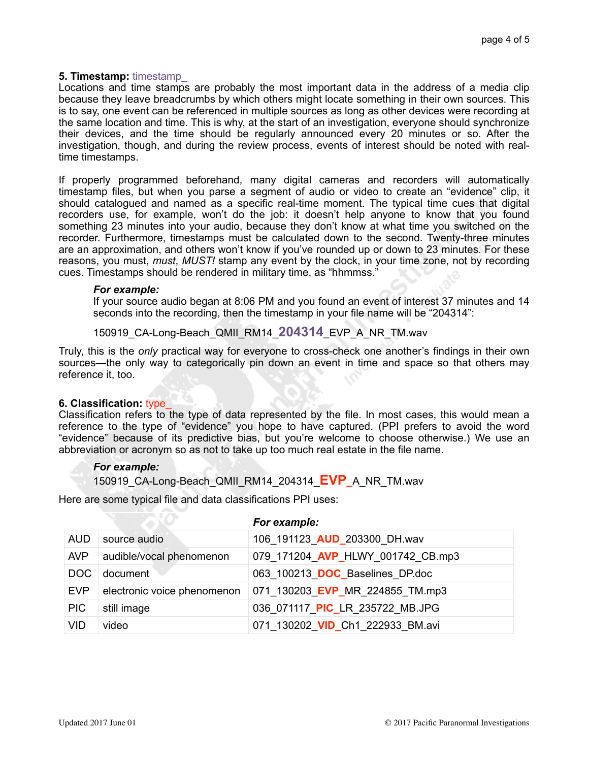# **5. Timestamp:** timestamp\_

Locations and time stamps are probably the most important data in the address of a media clip because they leave breadcrumbs by which others might locate something in their own sources. This is to say, one event can be referenced in multiple sources as long as other devices were recording at the same location and time. This is why, at the start of an investigation, everyone should synchronize their devices, and the time should be regularly announced every 20 minutes or so. After the investigation, though, and during the review process, events of interest should be noted with realtime timestamps.

If properly programmed beforehand, many digital cameras and recorders will automatically timestamp files, but when you parse a segment of audio or video to create an "evidence" clip, it should catalogued and named as a specific real-time moment. The typical time cues that digital recorders use, for example, won't do the job: it doesn't help anyone to know that you found something 23 minutes into your audio, because they don't know at what time you switched on the recorder. Furthermore, timestamps must be calculated down to the second. Twenty-three minutes are an approximation, and others won't know if you've rounded up or down to 23 minutes. For these reasons, you must, *must*, *MUST!* stamp any event by the clock, in your time zone, not by recording cues. Timestamps should be rendered in military time, as "hhmmss."

#### *For example:*

If your source audio began at 8:06 PM and you found an event of interest 37 minutes and 14 seconds into the recording, then the timestamp in your file name will be "204314":

# 150919\_CA-Long-Beach\_QMII\_RM14\_**204314\_**EVP\_A\_NR\_TM.wav

Truly, this is the *only* practical way for everyone to cross-check one another's findings in their own sources—the only way to categorically pin down an event in time and space so that others may reference it, too.

## **6. Classification:** type\_

Classification refers to the type of data represented by the file. In most cases, this would mean a reference to the type of "evidence" you hope to have captured. (PPI prefers to avoid the word "evidence" because of its predictive bias, but you're welcome to choose otherwise.) We use an abbreviation or acronym so as not to take up too much real estate in the file name.

## *For example:*

150919\_CA-Long-Beach\_QMII\_RM14\_204314\_**EVP\_**A\_NR\_TM.wav

Here are some typical file and data classifications PPI uses:

| AUD        | source audio                | 106 191123 AUD 203300 DH.wav      |
|------------|-----------------------------|-----------------------------------|
| <b>AVP</b> | audible/vocal phenomenon    | 079_171204_AVP_HLWY_001742 CB.mp3 |
| DOC        | document                    | 063 100213 DOC Baselines DP.doc   |
| <b>EVP</b> | electronic voice phenomenon | 071 130203 EVP MR 224855 TM.mp3   |
| <b>PIC</b> | still image                 | 036 071117 PIC LR 235722 MB.JPG   |
| <b>VID</b> | video                       | 071_130202_VID_Ch1_222933_BM.avi  |

#### *For example:*